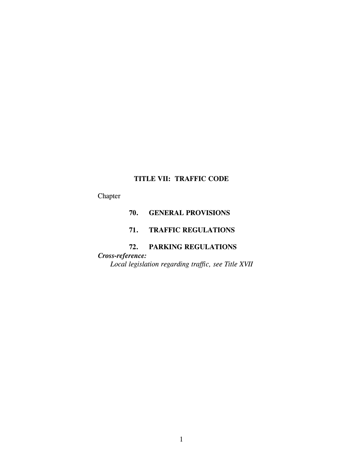### **TITLE VII: TRAFFIC CODE**

# Chapter

# **70. GENERAL PROVISIONS**

# **71. TRAFFIC REGULATIONS**

# **72. PARKING REGULATIONS**

# *Cross-reference:*

*Local legislation regarding traffic, see Title XVII*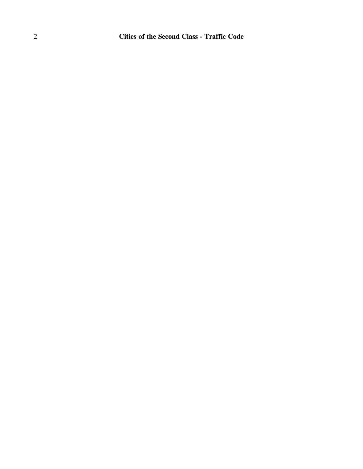**Cities of the Second Class - Traffic Code**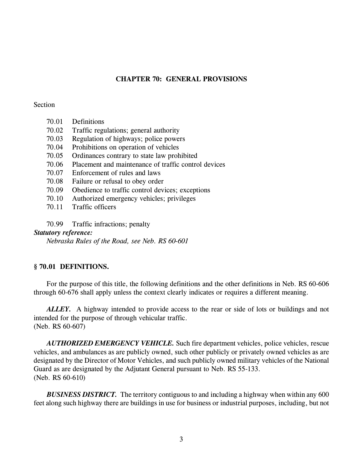### **CHAPTER 70: GENERAL PROVISIONS**

#### Section

- 70.01 Definitions
- 70.02 Traffic regulations; general authority
- 70.03 Regulation of highways; police powers
- 70.04 Prohibitions on operation of vehicles
- 70.05 Ordinances contrary to state law prohibited
- 70.06 Placement and maintenance of traffic control devices
- 70.07 Enforcement of rules and laws
- 70.08 Failure or refusal to obey order
- 70.09 Obedience to traffic control devices; exceptions
- 70.10 Authorized emergency vehicles; privileges
- 70.11 Traffic officers
- 70.99 Traffic infractions; penalty

#### *Statutory reference:*

*Nebraska Rules of the Road, see Neb. RS 60-601*

### **§ 70.01 DEFINITIONS.**

For the purpose of this title, the following definitions and the other definitions in Neb. RS 60-606 through 60-676 shall apply unless the context clearly indicates or requires a different meaning.

*ALLEY.* A highway intended to provide access to the rear or side of lots or buildings and not intended for the purpose of through vehicular traffic. (Neb. RS 60-607)

*AUTHORIZED EMERGENCY VEHICLE.* Such fire department vehicles, police vehicles, rescue vehicles, and ambulances as are publicly owned, such other publicly or privately owned vehicles as are designated by the Director of Motor Vehicles, and such publicly owned military vehicles of the National Guard as are designated by the Adjutant General pursuant to Neb. RS 55-133. (Neb. RS 60-610)

*BUSINESS DISTRICT.* The territory contiguous to and including a highway when within any 600 feet along such highway there are buildings in use for business or industrial purposes, including, but not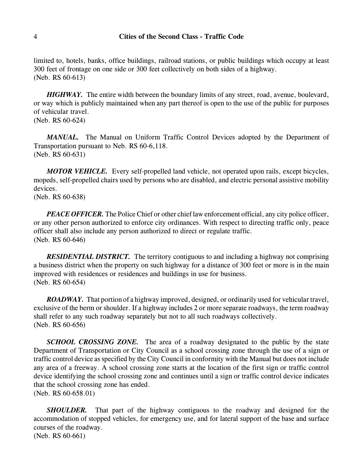limited to, hotels, banks, office buildings, railroad stations, or public buildings which occupy at least 300 feet of frontage on one side or 300 feet collectively on both sides of a highway. (Neb. RS 60-613)

*HIGHWAY.* The entire width between the boundary limits of any street, road, avenue, boulevard, or way which is publicly maintained when any part thereof is open to the use of the public for purposes of vehicular travel.

(Neb. RS 60-624)

*MANUAL.* The Manual on Uniform Traffic Control Devices adopted by the Department of Transportation pursuant to Neb. RS 60-6,118. (Neb. RS 60-631)

*MOTOR VEHICLE.* Every self-propelled land vehicle, not operated upon rails, except bicycles, mopeds, self-propelled chairs used by persons who are disabled, and electric personal assistive mobility devices.

(Neb. RS 60-638)

*PEACE OFFICER.* The Police Chief or other chief law enforcement official, any city police officer, or any other person authorized to enforce city ordinances. With respect to directing traffic only, peace officer shall also include any person authorized to direct or regulate traffic. (Neb. RS 60-646)

*RESIDENTIAL DISTRICT.* The territory contiguous to and including a highway not comprising a business district when the property on such highway for a distance of 300 feet or more is in the main improved with residences or residences and buildings in use for business. (Neb. RS 60-654)

*ROADWAY.* That portion of a highway improved, designed, or ordinarily used for vehicular travel, exclusive of the berm or shoulder. If a highway includes 2 or more separate roadways, the term roadway shall refer to any such roadway separately but not to all such roadways collectively. (Neb. RS 60-656)

**SCHOOL CROSSING ZONE.** The area of a roadway designated to the public by the state Department of Transportation or City Council as a school crossing zone through the use of a sign or traffic control device asspecified by the City Council in conformity with the Manual but does not include any area of a freeway. A school crossing zone starts at the location of the first sign or traffic control device identifying the school crossing zone and continues until a sign or traffic control device indicates that the school crossing zone has ended.

(Neb. RS 60-658.01)

*SHOULDER.* That part of the highway contiguous to the roadway and designed for the accommodation of stopped vehicles, for emergency use, and for lateral support of the base and surface courses of the roadway. (Neb. RS 60-661)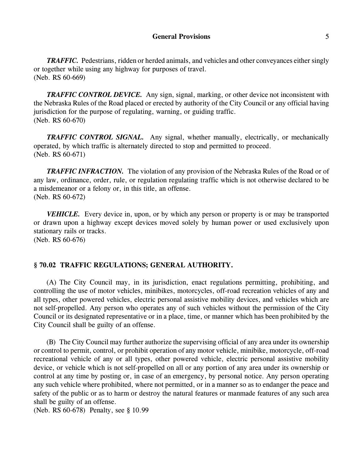*TRAFFIC.* Pedestrians, ridden or herded animals, and vehicles and other conveyances either singly or together while using any highway for purposes of travel. (Neb. RS 60-669)

*TRAFFIC CONTROL DEVICE.* Any sign, signal, marking, or other device not inconsistent with the Nebraska Rules of the Road placed or erected by authority of the City Council or any official having jurisdiction for the purpose of regulating, warning, or guiding traffic. (Neb. RS 60-670)

*TRAFFIC CONTROL SIGNAL.* Any signal, whether manually, electrically, or mechanically operated, by which traffic is alternately directed to stop and permitted to proceed. (Neb. RS 60-671)

*TRAFFIC INFRACTION.* The violation of any provision of the Nebraska Rules of the Road or of any law, ordinance, order, rule, or regulation regulating traffic which is not otherwise declared to be a misdemeanor or a felony or, in this title, an offense. (Neb. RS 60-672)

*VEHICLE.* Every device in, upon, or by which any person or property is or may be transported or drawn upon a highway except devices moved solely by human power or used exclusively upon stationary rails or tracks. (Neb. RS 60-676)

### **§ 70.02 TRAFFIC REGULATIONS; GENERAL AUTHORITY.**

(A) The City Council may, in its jurisdiction, enact regulations permitting, prohibiting, and controlling the use of motor vehicles, minibikes, motorcycles, off-road recreation vehicles of any and all types, other powered vehicles, electric personal assistive mobility devices, and vehicles which are not self-propelled. Any person who operates any of such vehicles without the permission of the City Council or its designated representative or in a place, time, or manner which has been prohibited by the City Council shall be guilty of an offense.

(B) The City Council may further authorize the supervising official of any area under its ownership or control to permit, control, or prohibit operation of any motor vehicle, minibike, motorcycle, off-road recreational vehicle of any or all types, other powered vehicle, electric personal assistive mobility device, or vehicle which is not self-propelled on all or any portion of any area under its ownership or control at any time by posting or, in case of an emergency, by personal notice. Any person operating any such vehicle where prohibited, where not permitted, or in a manner so as to endanger the peace and safety of the public or as to harm or destroy the natural features or manmade features of any such area shall be guilty of an offense.

(Neb. RS 60-678) Penalty, see § 10.99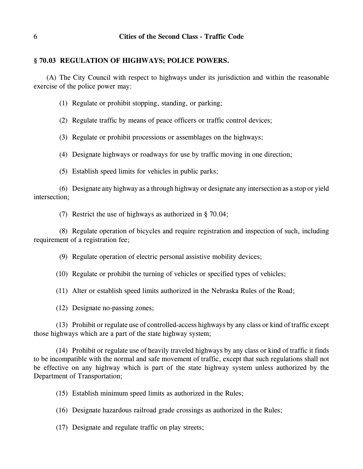#### **§ 70.03 REGULATION OF HIGHWAYS; POLICE POWERS.**

(A) The City Council with respect to highways under its jurisdiction and within the reasonable exercise of the police power may:

(1) Regulate or prohibit stopping, standing, or parking;

(2) Regulate traffic by means of peace officers or traffic control devices;

(3) Regulate or prohibit processions or assemblages on the highways;

(4) Designate highways or roadways for use by traffic moving in one direction;

(5) Establish speed limits for vehicles in public parks;

(6) Designate any highway as a through highway or designate any intersection as a stop or yield intersection;

(7) Restrict the use of highways as authorized in § 70.04;

(8) Regulate operation of bicycles and require registration and inspection of such, including requirement of a registration fee;

(9) Regulate operation of electric personal assistive mobility devices;

(10) Regulate or prohibit the turning of vehicles or specified types of vehicles;

(11) Alter or establish speed limits authorized in the Nebraska Rules of the Road;

(12) Designate no-passing zones;

(13) Prohibit or regulate use of controlled-access highways by any class or kind of traffic except those highways which are a part of the state highway system;

(14) Prohibit or regulate use of heavily traveled highways by any class or kind of traffic it finds to be incompatible with the normal and safe movement of traffic, except that such regulations shall not be effective on any highway which is part of the state highway system unless authorized by the Department of Transportation;

(15) Establish minimum speed limits as authorized in the Rules;

(16) Designate hazardous railroad grade crossings as authorized in the Rules;

(17) Designate and regulate traffic on play streets;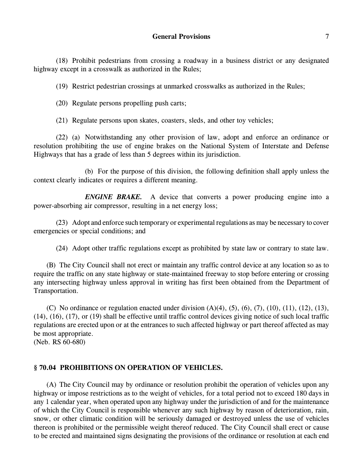(18) Prohibit pedestrians from crossing a roadway in a business district or any designated highway except in a crosswalk as authorized in the Rules;

(19) Restrict pedestrian crossings at unmarked crosswalks as authorized in the Rules;

- (20) Regulate persons propelling push carts;
- (21) Regulate persons upon skates, coasters, sleds, and other toy vehicles;

(22) (a) Notwithstanding any other provision of law, adopt and enforce an ordinance or resolution prohibiting the use of engine brakes on the National System of Interstate and Defense Highways that has a grade of less than 5 degrees within its jurisdiction.

(b) For the purpose of this division, the following definition shall apply unless the context clearly indicates or requires a different meaning.

*ENGINE BRAKE.* A device that converts a power producing engine into a power-absorbing air compressor, resulting in a net energy loss;

(23) Adopt and enforce such temporary or experimental regulations as may be necessary to cover emergencies or special conditions; and

(24) Adopt other traffic regulations except as prohibited by state law or contrary to state law.

(B) The City Council shall not erect or maintain any traffic control device at any location so as to require the traffic on any state highway or state-maintained freeway to stop before entering or crossing any intersecting highway unless approval in writing has first been obtained from the Department of Transportation.

(C) No ordinance or regulation enacted under division  $(A)(4)$ ,  $(5)$ ,  $(6)$ ,  $(7)$ ,  $(10)$ ,  $(11)$ ,  $(12)$ ,  $(13)$ , (14), (16), (17), or (19) shall be effective until traffic control devices giving notice of such local traffic regulations are erected upon or at the entrances to such affected highway or part thereof affected as may be most appropriate.

(Neb. RS 60-680)

#### **§ 70.04 PROHIBITIONS ON OPERATION OF VEHICLES.**

(A) The City Council may by ordinance or resolution prohibit the operation of vehicles upon any highway or impose restrictions as to the weight of vehicles, for a total period not to exceed 180 days in any 1 calendar year, when operated upon any highway under the jurisdiction of and for the maintenance of which the City Council is responsible whenever any such highway by reason of deterioration, rain, snow, or other climatic condition will be seriously damaged or destroyed unless the use of vehicles thereon is prohibited or the permissible weight thereof reduced. The City Council shall erect or cause to be erected and maintained signs designating the provisions of the ordinance or resolution at each end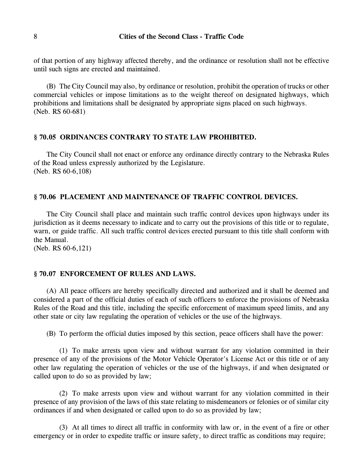#### 8 **Cities of the Second Class - Traffic Code**

of that portion of any highway affected thereby, and the ordinance or resolution shall not be effective until such signs are erected and maintained.

(B) The City Council may also, by ordinance or resolution, prohibit the operation of trucks or other commercial vehicles or impose limitations as to the weight thereof on designated highways, which prohibitions and limitations shall be designated by appropriate signs placed on such highways. (Neb. RS 60-681)

#### **§ 70.05 ORDINANCES CONTRARY TO STATE LAW PROHIBITED.**

The City Council shall not enact or enforce any ordinance directly contrary to the Nebraska Rules of the Road unless expressly authorized by the Legislature. (Neb. RS 60-6,108)

#### **§ 70.06 PLACEMENT AND MAINTENANCE OF TRAFFIC CONTROL DEVICES.**

The City Council shall place and maintain such traffic control devices upon highways under its jurisdiction as it deems necessary to indicate and to carry out the provisions of this title or to regulate, warn, or guide traffic. All such traffic control devices erected pursuant to this title shall conform with the Manual.

(Neb. RS 60-6,121)

#### **§ 70.07 ENFORCEMENT OF RULES AND LAWS.**

(A) All peace officers are hereby specifically directed and authorized and it shall be deemed and considered a part of the official duties of each of such officers to enforce the provisions of Nebraska Rules of the Road and this title, including the specific enforcement of maximum speed limits, and any other state or city law regulating the operation of vehicles or the use of the highways.

(B) To perform the official duties imposed by this section, peace officers shall have the power:

(1) To make arrests upon view and without warrant for any violation committed in their presence of any of the provisions of the Motor Vehicle Operator's License Act or this title or of any other law regulating the operation of vehicles or the use of the highways, if and when designated or called upon to do so as provided by law;

(2) To make arrests upon view and without warrant for any violation committed in their presence of any provision of the laws of this state relating to misdemeanors or felonies or of similar city ordinances if and when designated or called upon to do so as provided by law;

(3) At all times to direct all traffic in conformity with law or, in the event of a fire or other emergency or in order to expedite traffic or insure safety, to direct traffic as conditions may require;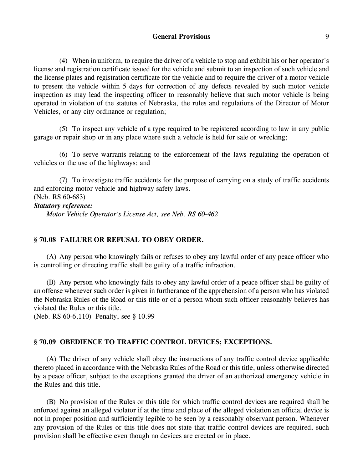#### **General Provisions** 9

(4) When in uniform, to require the driver of a vehicle to stop and exhibit his or her operator's license and registration certificate issued for the vehicle and submit to an inspection of such vehicle and the license plates and registration certificate for the vehicle and to require the driver of a motor vehicle to present the vehicle within 5 days for correction of any defects revealed by such motor vehicle inspection as may lead the inspecting officer to reasonably believe that such motor vehicle is being operated in violation of the statutes of Nebraska, the rules and regulations of the Director of Motor Vehicles, or any city ordinance or regulation;

(5) To inspect any vehicle of a type required to be registered according to law in any public garage or repair shop or in any place where such a vehicle is held for sale or wrecking;

(6) To serve warrants relating to the enforcement of the laws regulating the operation of vehicles or the use of the highways; and

(7) To investigate traffic accidents for the purpose of carrying on a study of traffic accidents and enforcing motor vehicle and highway safety laws. (Neb. RS 60-683) *Statutory reference: Motor Vehicle Operator's License Act, see Neb. RS 60-462*

#### **§ 70.08 FAILURE OR REFUSAL TO OBEY ORDER.**

(A) Any person who knowingly fails or refuses to obey any lawful order of any peace officer who is controlling or directing traffic shall be guilty of a traffic infraction.

(B) Any person who knowingly fails to obey any lawful order of a peace officer shall be guilty of an offense whenever such order is given in furtherance of the apprehension of a person who has violated the Nebraska Rules of the Road or this title or of a person whom such officer reasonably believes has violated the Rules or this title.

(Neb. RS 60-6,110) Penalty, see § 10.99

### **§ 70.09 OBEDIENCE TO TRAFFIC CONTROL DEVICES; EXCEPTIONS.**

(A) The driver of any vehicle shall obey the instructions of any traffic control device applicable thereto placed in accordance with the Nebraska Rules of the Road or this title, unless otherwise directed by a peace officer, subject to the exceptions granted the driver of an authorized emergency vehicle in the Rules and this title.

(B) No provision of the Rules or this title for which traffic control devices are required shall be enforced against an alleged violator if at the time and place of the alleged violation an official device is not in proper position and sufficiently legible to be seen by a reasonably observant person. Whenever any provision of the Rules or this title does not state that traffic control devices are required, such provision shall be effective even though no devices are erected or in place.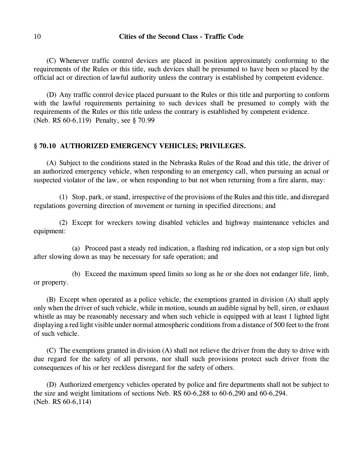#### 10 **Cities of the Second Class - Traffic Code**

(C) Whenever traffic control devices are placed in position approximately conforming to the requirements of the Rules or this title, such devices shall be presumed to have been so placed by the official act or direction of lawful authority unless the contrary is established by competent evidence.

(D) Any traffic control device placed pursuant to the Rules or this title and purporting to conform with the lawful requirements pertaining to such devices shall be presumed to comply with the requirements of the Rules or this title unless the contrary is established by competent evidence. (Neb. RS 60-6,119) Penalty, see § 70.99

#### **§ 70.10 AUTHORIZED EMERGENCY VEHICLES; PRIVILEGES.**

(A) Subject to the conditions stated in the Nebraska Rules of the Road and this title, the driver of an authorized emergency vehicle, when responding to an emergency call, when pursuing an actual or suspected violator of the law, or when responding to but not when returning from a fire alarm, may:

(1) Stop, park, or stand, irrespective of the provisions of the Rules and this title, and disregard regulations governing direction of movement or turning in specified directions; and

(2) Except for wreckers towing disabled vehicles and highway maintenance vehicles and equipment:

(a) Proceed past a steady red indication, a flashing red indication, or a stop sign but only after slowing down as may be necessary for safe operation; and

(b) Exceed the maximum speed limits so long as he or she does not endanger life, limb, or property.

(B) Except when operated as a police vehicle, the exemptions granted in division (A) shall apply only when the driver of such vehicle, while in motion, sounds an audible signal by bell, siren, or exhaust whistle as may be reasonably necessary and when such vehicle is equipped with at least 1 lighted light displaying a red light visible under normal atmospheric conditions from a distance of 500 feet to the front of such vehicle.

(C) The exemptions granted in division (A) shall not relieve the driver from the duty to drive with due regard for the safety of all persons, nor shall such provisions protect such driver from the consequences of his or her reckless disregard for the safety of others.

(D) Authorized emergency vehicles operated by police and fire departments shall not be subject to the size and weight limitations of sections Neb. RS 60-6,288 to 60-6,290 and 60-6,294. (Neb. RS 60-6,114)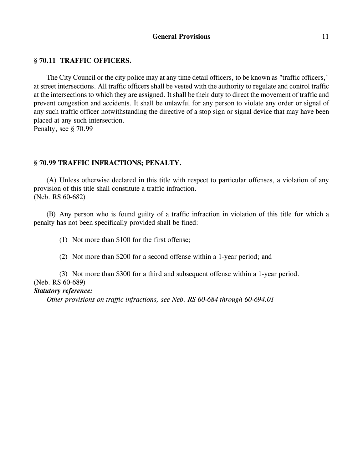### **General Provisions** 11

#### **§ 70.11 TRAFFIC OFFICERS.**

The City Council or the city police may at any time detail officers, to be known as "traffic officers," at street intersections. All traffic officers shall be vested with the authority to regulate and control traffic at the intersections to which they are assigned. It shall be their duty to direct the movement of traffic and prevent congestion and accidents. It shall be unlawful for any person to violate any order or signal of any such traffic officer notwithstanding the directive of a stop sign or signal device that may have been placed at any such intersection.

Penalty, see § 70.99

### **§ 70.99 TRAFFIC INFRACTIONS; PENALTY.**

(A) Unless otherwise declared in this title with respect to particular offenses, a violation of any provision of this title shall constitute a traffic infraction. (Neb. RS 60-682)

(B) Any person who is found guilty of a traffic infraction in violation of this title for which a penalty has not been specifically provided shall be fined:

(1) Not more than \$100 for the first offense;

(2) Not more than \$200 for a second offense within a 1-year period; and

(3) Not more than \$300 for a third and subsequent offense within a 1-year period. (Neb. RS 60-689)

# *Statutory reference:*

*Other provisions on traffic infractions, see Neb. RS 60-684 through 60-694.01*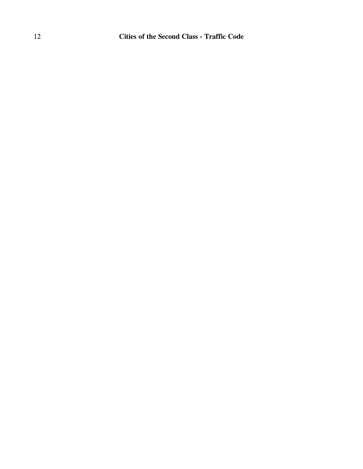**Cities of the Second Class - Traffic Code**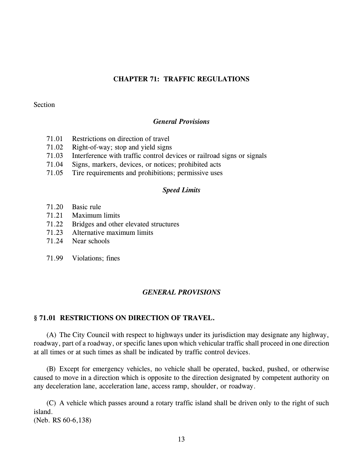### **CHAPTER 71: TRAFFIC REGULATIONS**

#### Section

#### *General Provisions*

- 71.01 Restrictions on direction of travel
- 71.02 Right-of-way; stop and yield signs
- 71.03 Interference with traffic control devices or railroad signs or signals
- 71.04 Signs, markers, devices, or notices; prohibited acts
- 71.05 Tire requirements and prohibitions; permissive uses

#### *Speed Limits*

- 71.20 Basic rule
- 71.21 Maximum limits
- 71.22 Bridges and other elevated structures
- 71.23 Alternative maximum limits
- 71.24 Near schools
- 71.99 Violations; fines

### *GENERAL PROVISIONS*

#### **§ 71.01 RESTRICTIONS ON DIRECTION OF TRAVEL.**

(A) The City Council with respect to highways under its jurisdiction may designate any highway, roadway, part of a roadway, or specific lanes upon which vehicular traffic shall proceed in one direction at all times or at such times as shall be indicated by traffic control devices.

(B) Except for emergency vehicles, no vehicle shall be operated, backed, pushed, or otherwise caused to move in a direction which is opposite to the direction designated by competent authority on any deceleration lane, acceleration lane, access ramp, shoulder, or roadway.

(C) A vehicle which passes around a rotary traffic island shall be driven only to the right of such island.

(Neb. RS 60-6,138)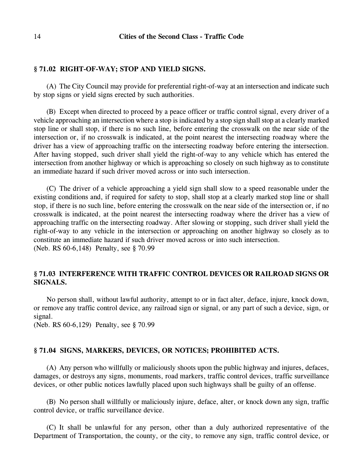#### **§ 71.02 RIGHT-OF-WAY; STOP AND YIELD SIGNS.**

(A) The City Council may provide for preferential right-of-way at an intersection and indicate such by stop signs or yield signs erected by such authorities.

(B) Except when directed to proceed by a peace officer or traffic control signal, every driver of a vehicle approaching an intersection where a stop is indicated by a stop sign shall stop at a clearly marked stop line or shall stop, if there is no such line, before entering the crosswalk on the near side of the intersection or, if no crosswalk is indicated, at the point nearest the intersecting roadway where the driver has a view of approaching traffic on the intersecting roadway before entering the intersection. After having stopped, such driver shall yield the right-of-way to any vehicle which has entered the intersection from another highway or which is approaching so closely on such highway as to constitute an immediate hazard if such driver moved across or into such intersection.

(C) The driver of a vehicle approaching a yield sign shall slow to a speed reasonable under the existing conditions and, if required for safety to stop, shall stop at a clearly marked stop line or shall stop, if there is no such line, before entering the crosswalk on the near side of the intersection or, if no crosswalk is indicated, at the point nearest the intersecting roadway where the driver has a view of approaching traffic on the intersecting roadway. After slowing or stopping, such driver shall yield the right-of-way to any vehicle in the intersection or approaching on another highway so closely as to constitute an immediate hazard if such driver moved across or into such intersection. (Neb. RS 60-6,148) Penalty, see § 70.99

### **§ 71.03 INTERFERENCE WITH TRAFFIC CONTROL DEVICES OR RAILROAD SIGNS OR SIGNALS.**

No person shall, without lawful authority, attempt to or in fact alter, deface, injure, knock down, or remove any traffic control device, any railroad sign or signal, or any part of such a device, sign, or signal.

(Neb. RS 60-6,129) Penalty, see § 70.99

#### **§ 71.04 SIGNS, MARKERS, DEVICES, OR NOTICES; PROHIBITED ACTS.**

(A) Any person who willfully or maliciously shoots upon the public highway and injures, defaces, damages, or destroys any signs, monuments, road markers, traffic control devices, traffic surveillance devices, or other public notices lawfully placed upon such highways shall be guilty of an offense.

(B) No person shall willfully or maliciously injure, deface, alter, or knock down any sign, traffic control device, or traffic surveillance device.

(C) It shall be unlawful for any person, other than a duly authorized representative of the Department of Transportation, the county, or the city, to remove any sign, traffic control device, or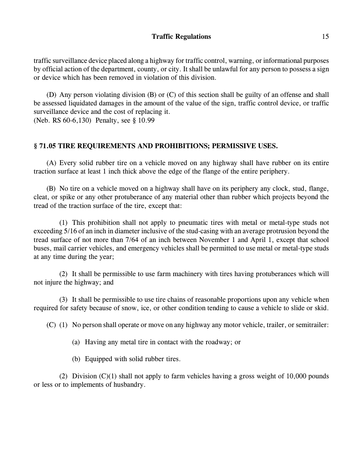### **Traffic Regulations** 15

traffic surveillance device placed along a highway for traffic control, warning, or informational purposes by official action of the department, county, or city. It shall be unlawful for any person to possess a sign or device which has been removed in violation of this division.

(D) Any person violating division (B) or (C) of this section shall be guilty of an offense and shall be assessed liquidated damages in the amount of the value of the sign, traffic control device, or traffic surveillance device and the cost of replacing it.

(Neb. RS 60-6,130) Penalty, see § 10.99

### **§ 71.05 TIRE REQUIREMENTS AND PROHIBITIONS; PERMISSIVE USES.**

(A) Every solid rubber tire on a vehicle moved on any highway shall have rubber on its entire traction surface at least 1 inch thick above the edge of the flange of the entire periphery.

(B) No tire on a vehicle moved on a highway shall have on its periphery any clock, stud, flange, cleat, or spike or any other protuberance of any material other than rubber which projects beyond the tread of the traction surface of the tire, except that:

(1) This prohibition shall not apply to pneumatic tires with metal or metal-type studs not exceeding 5/16 of an inch in diameter inclusive of the stud-casing with an average protrusion beyond the tread surface of not more than 7/64 of an inch between November 1 and April 1, except that school buses, mail carrier vehicles, and emergency vehicles shall be permitted to use metal or metal-type studs at any time during the year;

(2) It shall be permissible to use farm machinery with tires having protuberances which will not injure the highway; and

(3) It shall be permissible to use tire chains of reasonable proportions upon any vehicle when required for safety because of snow, ice, or other condition tending to cause a vehicle to slide or skid.

(C) (1) No person shall operate or move on any highway any motor vehicle, trailer, or semitrailer:

(a) Having any metal tire in contact with the roadway; or

(b) Equipped with solid rubber tires.

(2) Division  $(C)(1)$  shall not apply to farm vehicles having a gross weight of 10,000 pounds or less or to implements of husbandry.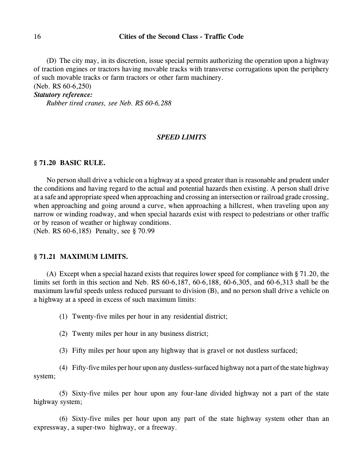#### 16 **Cities of the Second Class - Traffic Code**

(D) The city may, in its discretion, issue special permits authorizing the operation upon a highway of traction engines or tractors having movable tracks with transverse corrugations upon the periphery of such movable tracks or farm tractors or other farm machinery. (Neb. RS 60-6,250)

*Statutory reference:*

*Rubber tired cranes, see Neb. RS 60-6,288*

#### *SPEED LIMITS*

#### **§ 71.20 BASIC RULE.**

No person shall drive a vehicle on a highway at a speed greater than is reasonable and prudent under the conditions and having regard to the actual and potential hazards then existing. A person shall drive at a safe and appropriate speed when approaching and crossing an intersection or railroad grade crossing, when approaching and going around a curve, when approaching a hillcrest, when traveling upon any narrow or winding roadway, and when special hazards exist with respect to pedestrians or other traffic or by reason of weather or highway conditions. (Neb. RS 60-6,185) Penalty, see § 70.99

#### **§ 71.21 MAXIMUM LIMITS.**

(A) Except when a special hazard exists that requires lower speed for compliance with § 71.20, the limits set forth in this section and Neb. RS 60-6,187, 60-6,188, 60-6,305, and 60-6,313 shall be the maximum lawful speeds unless reduced pursuant to division (B), and no person shall drive a vehicle on a highway at a speed in excess of such maximum limits:

(1) Twenty-five miles per hour in any residential district;

(2) Twenty miles per hour in any business district;

(3) Fifty miles per hour upon any highway that is gravel or not dustless surfaced;

(4) Fifty-five miles per hour upon any dustless-surfaced highway not a part of the state highway system;

(5) Sixty-five miles per hour upon any four-lane divided highway not a part of the state highway system;

(6) Sixty-five miles per hour upon any part of the state highway system other than an expressway, a super-two highway, or a freeway.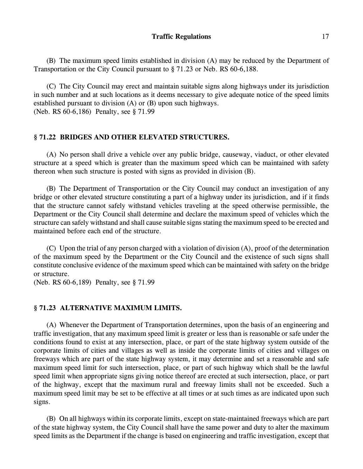#### **Traffic Regulations** 17

(B) The maximum speed limits established in division (A) may be reduced by the Department of Transportation or the City Council pursuant to § 71.23 or Neb. RS 60-6,188.

(C) The City Council may erect and maintain suitable signs along highways under its jurisdiction in such number and at such locations as it deems necessary to give adequate notice of the speed limits established pursuant to division (A) or (B) upon such highways. (Neb. RS 60-6,186) Penalty, see § 71.99

### **§ 71.22 BRIDGES AND OTHER ELEVATED STRUCTURES.**

(A) No person shall drive a vehicle over any public bridge, causeway, viaduct, or other elevated structure at a speed which is greater than the maximum speed which can be maintained with safety thereon when such structure is posted with signs as provided in division (B).

(B) The Department of Transportation or the City Council may conduct an investigation of any bridge or other elevated structure constituting a part of a highway under its jurisdiction, and if it finds that the structure cannot safely withstand vehicles traveling at the speed otherwise permissible, the Department or the City Council shall determine and declare the maximum speed of vehicles which the structure can safely withstand and shall cause suitable signs stating the maximum speed to be erected and maintained before each end of the structure.

(C) Upon the trial of any person charged with a violation of division (A), proof of the determination of the maximum speed by the Department or the City Council and the existence of such signs shall constitute conclusive evidence of the maximum speed which can be maintained with safety on the bridge or structure.

(Neb. RS 60-6,189) Penalty, see § 71.99

#### **§ 71.23 ALTERNATIVE MAXIMUM LIMITS.**

(A) Whenever the Department of Transportation determines, upon the basis of an engineering and traffic investigation, that any maximum speed limit is greater or less than is reasonable or safe under the conditions found to exist at any intersection, place, or part of the state highway system outside of the corporate limits of cities and villages as well as inside the corporate limits of cities and villages on freeways which are part of the state highway system, it may determine and set a reasonable and safe maximum speed limit for such intersection, place, or part of such highway which shall be the lawful speed limit when appropriate signs giving notice thereof are erected at such intersection, place, or part of the highway, except that the maximum rural and freeway limits shall not be exceeded. Such a maximum speed limit may be set to be effective at all times or at such times as are indicated upon such signs.

(B) On all highways within its corporate limits, except on state-maintained freeways which are part of the state highway system, the City Council shall have the same power and duty to alter the maximum speed limits as the Department if the change is based on engineering and traffic investigation, except that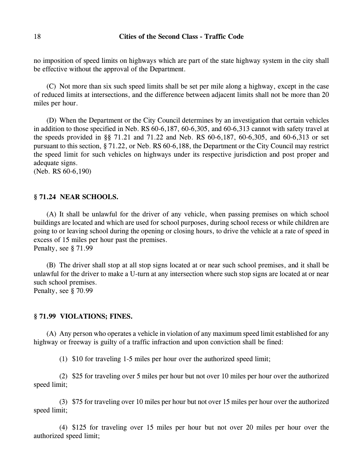no imposition of speed limits on highways which are part of the state highway system in the city shall be effective without the approval of the Department.

(C) Not more than six such speed limits shall be set per mile along a highway, except in the case of reduced limits at intersections, and the difference between adjacent limits shall not be more than 20 miles per hour.

(D) When the Department or the City Council determines by an investigation that certain vehicles in addition to those specified in Neb. RS 60-6,187, 60-6,305, and 60-6,313 cannot with safety travel at the speeds provided in §§ 71.21 and 71.22 and Neb. RS 60-6,187, 60-6,305, and 60-6,313 or set pursuant to this section, § 71.22, or Neb. RS 60-6,188, the Department or the City Council may restrict the speed limit for such vehicles on highways under its respective jurisdiction and post proper and adequate signs.

(Neb. RS 60-6,190)

#### **§ 71.24 NEAR SCHOOLS.**

(A) It shall be unlawful for the driver of any vehicle, when passing premises on which school buildings are located and which are used for school purposes, during school recess or while children are going to or leaving school during the opening or closing hours, to drive the vehicle at a rate of speed in excess of 15 miles per hour past the premises. Penalty, see § 71.99

(B) The driver shall stop at all stop signs located at or near such school premises, and it shall be unlawful for the driver to make a U-turn at any intersection where such stop signs are located at or near such school premises. Penalty, see § 70.99

#### **§ 71.99 VIOLATIONS; FINES.**

(A) Any person who operates a vehicle in violation of any maximum speed limit established for any highway or freeway is guilty of a traffic infraction and upon conviction shall be fined:

(1) \$10 for traveling 1-5 miles per hour over the authorized speed limit;

(2) \$25 for traveling over 5 miles per hour but not over 10 miles per hour over the authorized speed limit;

(3) \$75 for traveling over 10 miles per hour but not over 15 miles per hour over the authorized speed limit;

(4) \$125 for traveling over 15 miles per hour but not over 20 miles per hour over the authorized speed limit;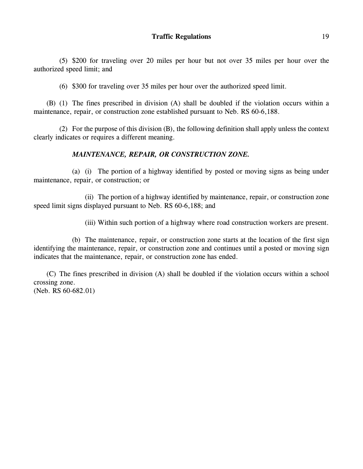(5) \$200 for traveling over 20 miles per hour but not over 35 miles per hour over the authorized speed limit; and

(6) \$300 for traveling over 35 miles per hour over the authorized speed limit.

(B) (1) The fines prescribed in division (A) shall be doubled if the violation occurs within a maintenance, repair, or construction zone established pursuant to Neb. RS 60-6,188.

(2) For the purpose of this division (B), the following definition shall apply unless the context clearly indicates or requires a different meaning.

### *MAINTENANCE, REPAIR, OR CONSTRUCTION ZONE.*

(a) (i) The portion of a highway identified by posted or moving signs as being under maintenance, repair, or construction; or

(ii) The portion of a highway identified by maintenance, repair, or construction zone speed limit signs displayed pursuant to Neb. RS 60-6,188; and

(iii) Within such portion of a highway where road construction workers are present.

(b) The maintenance, repair, or construction zone starts at the location of the first sign identifying the maintenance, repair, or construction zone and continues until a posted or moving sign indicates that the maintenance, repair, or construction zone has ended.

(C) The fines prescribed in division (A) shall be doubled if the violation occurs within a school crossing zone. (Neb. RS 60-682.01)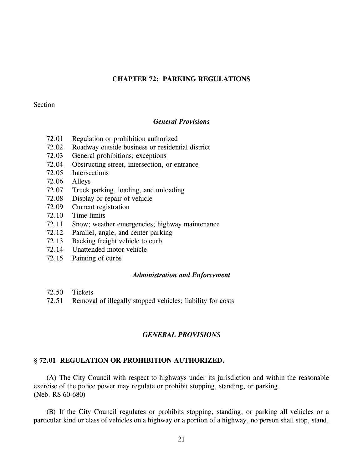### **CHAPTER 72: PARKING REGULATIONS**

#### Section

#### *General Provisions*

- 72.01 Regulation or prohibition authorized
- 72.02 Roadway outside business or residential district
- 72.03 General prohibitions; exceptions
- 72.04 Obstructing street, intersection, or entrance
- 72.05 Intersections
- 72.06 Alleys
- 72.07 Truck parking, loading, and unloading
- 72.08 Display or repair of vehicle
- 72.09 Current registration
- 72.10 Time limits
- 72.11 Snow; weather emergencies; highway maintenance
- 72.12 Parallel, angle, and center parking
- 72.13 Backing freight vehicle to curb
- 72.14 Unattended motor vehicle
- 72.15 Painting of curbs

#### *Administration and Enforcement*

- 72.50 Tickets
- 72.51 Removal of illegally stopped vehicles; liability for costs

#### *GENERAL PROVISIONS*

#### **§ 72.01 REGULATION OR PROHIBITION AUTHORIZED.**

(A) The City Council with respect to highways under its jurisdiction and within the reasonable exercise of the police power may regulate or prohibit stopping, standing, or parking. (Neb. RS 60-680)

(B) If the City Council regulates or prohibits stopping, standing, or parking all vehicles or a particular kind or class of vehicles on a highway or a portion of a highway, no person shall stop, stand,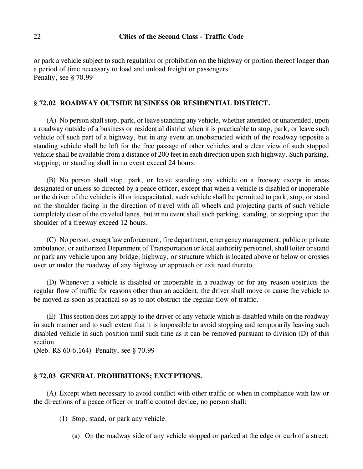or park a vehicle subject to such regulation or prohibition on the highway or portion thereof longer than a period of time necessary to load and unload freight or passengers. Penalty, see § 70.99

### **§ 72.02 ROADWAY OUTSIDE BUSINESS OR RESIDENTIAL DISTRICT.**

(A) No person shall stop, park, or leave standing any vehicle, whether attended or unattended, upon a roadway outside of a business or residential district when it is practicable to stop, park, or leave such vehicle off such part of a highway, but in any event an unobstructed width of the roadway opposite a standing vehicle shall be left for the free passage of other vehicles and a clear view of such stopped vehicle shall be available from a distance of 200 feet in each direction upon such highway. Such parking, stopping, or standing shall in no event exceed 24 hours.

(B) No person shall stop, park, or leave standing any vehicle on a freeway except in areas designated or unless so directed by a peace officer, except that when a vehicle is disabled or inoperable or the driver of the vehicle is ill or incapacitated, such vehicle shall be permitted to park, stop, or stand on the shoulder facing in the direction of travel with all wheels and projecting parts of such vehicle completely clear of the traveled lanes, but in no event shall such parking, standing, or stopping upon the shoulder of a freeway exceed 12 hours.

(C) No person, except law enforcement, fire department, emergency management, public or private ambulance, or authorized Department of Transportation or local authority personnel, shall loiter or stand or park any vehicle upon any bridge, highway, or structure which is located above or below or crosses over or under the roadway of any highway or approach or exit road thereto.

(D) Whenever a vehicle is disabled or inoperable in a roadway or for any reason obstructs the regular flow of traffic for reasons other than an accident, the driver shall move or cause the vehicle to be moved as soon as practical so as to not obstruct the regular flow of traffic.

(E) This section does not apply to the driver of any vehicle which is disabled while on the roadway in such manner and to such extent that it is impossible to avoid stopping and temporarily leaving such disabled vehicle in such position until such time as it can be removed pursuant to division (D) of this section.

(Neb. RS 60-6,164) Penalty, see § 70.99

### **§ 72.03 GENERAL PROHIBITIONS; EXCEPTIONS.**

(A) Except when necessary to avoid conflict with other traffic or when in compliance with law or the directions of a peace officer or traffic control device, no person shall:

- (1) Stop, stand, or park any vehicle:
	- (a) On the roadway side of any vehicle stopped or parked at the edge or curb of a street;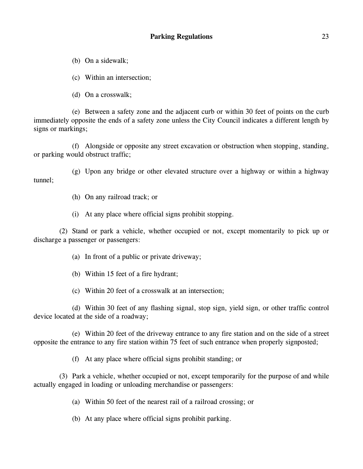(b) On a sidewalk;

(c) Within an intersection;

(d) On a crosswalk;

(e) Between a safety zone and the adjacent curb or within 30 feet of points on the curb immediately opposite the ends of a safety zone unless the City Council indicates a different length by signs or markings;

(f) Alongside or opposite any street excavation or obstruction when stopping, standing, or parking would obstruct traffic;

(g) Upon any bridge or other elevated structure over a highway or within a highway tunnel;

(h) On any railroad track; or

(i) At any place where official signs prohibit stopping.

(2) Stand or park a vehicle, whether occupied or not, except momentarily to pick up or discharge a passenger or passengers:

- (a) In front of a public or private driveway;
- (b) Within 15 feet of a fire hydrant;
- (c) Within 20 feet of a crosswalk at an intersection;

(d) Within 30 feet of any flashing signal, stop sign, yield sign, or other traffic control device located at the side of a roadway;

(e) Within 20 feet of the driveway entrance to any fire station and on the side of a street opposite the entrance to any fire station within 75 feet of such entrance when properly signposted;

(f) At any place where official signs prohibit standing; or

(3) Park a vehicle, whether occupied or not, except temporarily for the purpose of and while actually engaged in loading or unloading merchandise or passengers:

(a) Within 50 feet of the nearest rail of a railroad crossing; or

(b) At any place where official signs prohibit parking.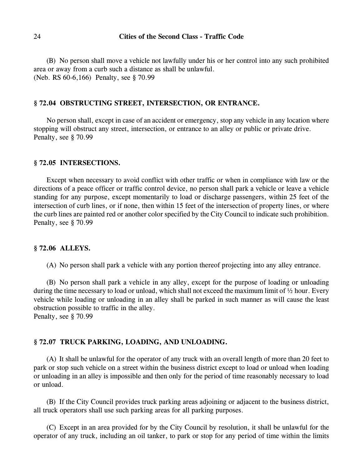(B) No person shall move a vehicle not lawfully under his or her control into any such prohibited area or away from a curb such a distance as shall be unlawful. (Neb. RS 60-6,166) Penalty, see § 70.99

#### **§ 72.04 OBSTRUCTING STREET, INTERSECTION, OR ENTRANCE.**

No person shall, except in case of an accident or emergency, stop any vehicle in any location where stopping will obstruct any street, intersection, or entrance to an alley or public or private drive. Penalty, see § 70.99

#### **§ 72.05 INTERSECTIONS.**

Except when necessary to avoid conflict with other traffic or when in compliance with law or the directions of a peace officer or traffic control device, no person shall park a vehicle or leave a vehicle standing for any purpose, except momentarily to load or discharge passengers, within 25 feet of the intersection of curb lines, or if none, then within 15 feet of the intersection of property lines, or where the curb lines are painted red or another color specified by the City Council to indicate such prohibition. Penalty, see § 70.99

#### **§ 72.06 ALLEYS.**

(A) No person shall park a vehicle with any portion thereof projecting into any alley entrance.

(B) No person shall park a vehicle in any alley, except for the purpose of loading or unloading during the time necessary to load or unload, which shall not exceed the maximum limit of ½ hour. Every vehicle while loading or unloading in an alley shall be parked in such manner as will cause the least obstruction possible to traffic in the alley.

Penalty, see § 70.99

### **§ 72.07 TRUCK PARKING, LOADING, AND UNLOADING.**

(A) It shall be unlawful for the operator of any truck with an overall length of more than 20 feet to park or stop such vehicle on a street within the business district except to load or unload when loading or unloading in an alley is impossible and then only for the period of time reasonably necessary to load or unload.

(B) If the City Council provides truck parking areas adjoining or adjacent to the business district, all truck operators shall use such parking areas for all parking purposes.

(C) Except in an area provided for by the City Council by resolution, it shall be unlawful for the operator of any truck, including an oil tanker, to park or stop for any period of time within the limits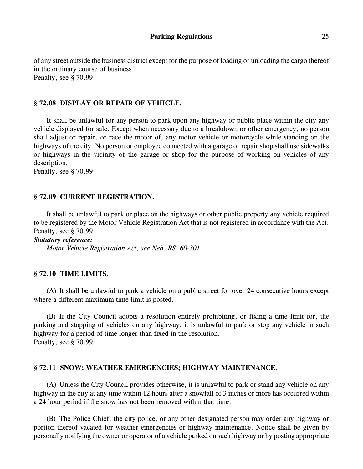of any street outside the business district except for the purpose of loading or unloading the cargo thereof in the ordinary course of business. Penalty, see § 70.99

#### **§ 72.08 DISPLAY OR REPAIR OF VEHICLE.**

It shall be unlawful for any person to park upon any highway or public place within the city any vehicle displayed for sale. Except when necessary due to a breakdown or other emergency, no person shall adjust or repair, or race the motor of, any motor vehicle or motorcycle while standing on the highways of the city. No person or employee connected with a garage or repair shop shall use sidewalks or highways in the vicinity of the garage or shop for the purpose of working on vehicles of any description.

Penalty, see § 70.99

#### **§ 72.09 CURRENT REGISTRATION.**

It shall be unlawful to park or place on the highways or other public property any vehicle required to be registered by the Motor Vehicle Registration Act that is not registered in accordance with the Act. Penalty, see § 70.99

#### *Statutory reference:*

*Motor Vehicle Registration Act, see Neb. RS 60-301*

#### **§ 72.10 TIME LIMITS.**

(A) It shall be unlawful to park a vehicle on a public street for over 24 consecutive hours except where a different maximum time limit is posted.

(B) If the City Council adopts a resolution entirely prohibiting, or fixing a time limit for, the parking and stopping of vehicles on any highway, it is unlawful to park or stop any vehicle in such highway for a period of time longer than fixed in the resolution. Penalty, see § 70.99

#### **§ 72.11 SNOW; WEATHER EMERGENCIES; HIGHWAY MAINTENANCE.**

(A) Unless the City Council provides otherwise, it is unlawful to park or stand any vehicle on any highway in the city at any time within 12 hours after a snowfall of 3 inches or more has occurred within a 24 hour period if the snow has not been removed within that time.

(B) The Police Chief, the city police, or any other designated person may order any highway or portion thereof vacated for weather emergencies or highway maintenance. Notice shall be given by personally notifying the owner or operator of a vehicle parked on such highway or by posting appropriate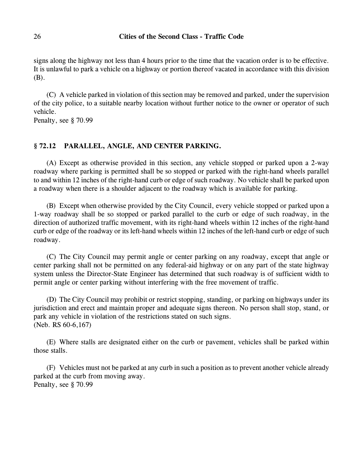signs along the highway not less than 4 hours prior to the time that the vacation order is to be effective. It is unlawful to park a vehicle on a highway or portion thereof vacated in accordance with this division (B).

(C) A vehicle parked in violation of this section may be removed and parked, under the supervision of the city police, to a suitable nearby location without further notice to the owner or operator of such vehicle.

Penalty, see § 70.99

### **§ 72.12 PARALLEL, ANGLE, AND CENTER PARKING.**

(A) Except as otherwise provided in this section, any vehicle stopped or parked upon a 2-way roadway where parking is permitted shall be so stopped or parked with the right-hand wheels parallel to and within 12 inches of the right-hand curb or edge of such roadway. No vehicle shall be parked upon a roadway when there is a shoulder adjacent to the roadway which is available for parking.

(B) Except when otherwise provided by the City Council, every vehicle stopped or parked upon a 1-way roadway shall be so stopped or parked parallel to the curb or edge of such roadway, in the direction of authorized traffic movement, with its right-hand wheels within 12 inches of the right-hand curb or edge of the roadway or its left-hand wheels within 12 inches of the left-hand curb or edge of such roadway.

(C) The City Council may permit angle or center parking on any roadway, except that angle or center parking shall not be permitted on any federal-aid highway or on any part of the state highway system unless the Director-State Engineer has determined that such roadway is of sufficient width to permit angle or center parking without interfering with the free movement of traffic.

(D) The City Council may prohibit or restrict stopping, standing, or parking on highways under its jurisdiction and erect and maintain proper and adequate signs thereon. No person shall stop, stand, or park any vehicle in violation of the restrictions stated on such signs. (Neb. RS 60-6,167)

(E) Where stalls are designated either on the curb or pavement, vehicles shall be parked within those stalls.

(F) Vehicles must not be parked at any curb in such a position as to prevent another vehicle already parked at the curb from moving away. Penalty, see § 70.99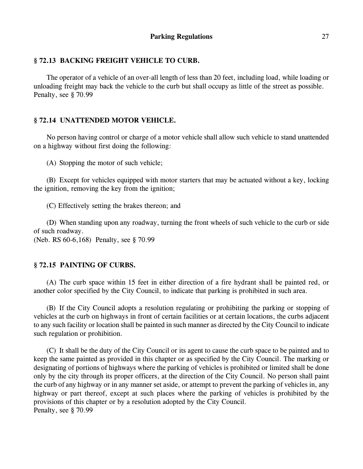### **§ 72.13 BACKING FREIGHT VEHICLE TO CURB.**

The operator of a vehicle of an over-all length of less than 20 feet, including load, while loading or unloading freight may back the vehicle to the curb but shall occupy as little of the street as possible. Penalty, see § 70.99

### **§ 72.14 UNATTENDED MOTOR VEHICLE.**

No person having control or charge of a motor vehicle shall allow such vehicle to stand unattended on a highway without first doing the following:

(A) Stopping the motor of such vehicle;

(B) Except for vehicles equipped with motor starters that may be actuated without a key, locking the ignition, removing the key from the ignition;

(C) Effectively setting the brakes thereon; and

(D) When standing upon any roadway, turning the front wheels of such vehicle to the curb or side of such roadway.

(Neb. RS 60-6,168) Penalty, see § 70.99

### **§ 72.15 PAINTING OF CURBS.**

(A) The curb space within 15 feet in either direction of a fire hydrant shall be painted red, or another color specified by the City Council, to indicate that parking is prohibited in such area.

(B) If the City Council adopts a resolution regulating or prohibiting the parking or stopping of vehicles at the curb on highways in front of certain facilities or at certain locations, the curbs adjacent to any such facility or location shall be painted in such manner as directed by the City Council to indicate such regulation or prohibition.

(C) It shall be the duty of the City Council or its agent to cause the curb space to be painted and to keep the same painted as provided in this chapter or as specified by the City Council. The marking or designating of portions of highways where the parking of vehicles is prohibited or limited shall be done only by the city through its proper officers, at the direction of the City Council. No person shall paint the curb of any highway or in any manner set aside, or attempt to prevent the parking of vehicles in, any highway or part thereof, except at such places where the parking of vehicles is prohibited by the provisions of this chapter or by a resolution adopted by the City Council. Penalty, see § 70.99